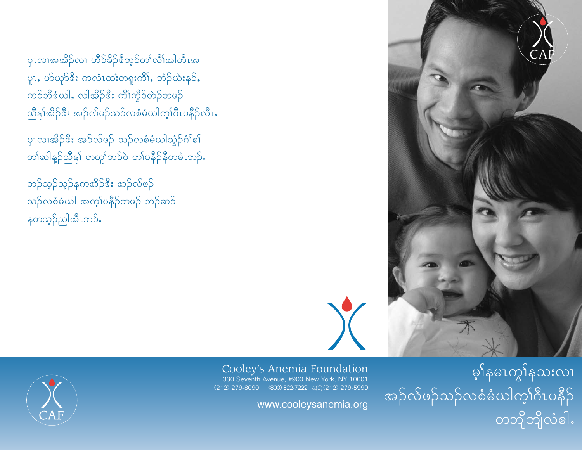yၤလၢအအိဉ်လၢ ဟိဉ်ခိဉ်<sup>8</sup>ဘ့ဉ်တၢ်လိၢ်အါတီၤအ ပူး, ဟ်ယုဉ်ဒီး ကလံၤထးတရူးကိါ, ဘံဉ်ယဲးနဉ်, ကဉ်ဘီဒံယါ, လါအိဉ်ဒီး ကိၢိက္ငီဉ်တဲဉ်တဖဉ် ညီနှၤ်အိဉ်ဒီး အဉ်လ်ဖဉ်သဉ်လစံမံယါက့ါဂီၤပနီဉ်လီၤ.

ပုၤလၢအိဉ် $\mathbf{\hat{s}}$ း အဉ်လ်ဖဉ် သဉ်လစံမံယါသွံဉ်ဂံၢ်စၢ် တါဆါနူဉ်ညီနှါ တတူါဘဉ်ဝဲ တါပနီဉ်နီတမံၤဘဉ်.

ဘဉ်သ့ဉ်နကအိဉ်ဒီး အဉ်လ်ဖဉ် သဉ်လစံမံယါ အက့ $\mathrm{log} \beta$ တဖဉ် ဘဉ်ဆဉ် နတသ့ဉ်ညါအီၤဘဉ်ႉ

မှာ်နမၤကွါနသးလၢ အဉ်လိဖဉ်သဉ်လစံမံယါက္ခါဂီၤပနီဉ် တဘျီဘျီလံဓါ.

Cooley's Anemia Foundation 330 Seventh Avenue, #900 New York, NY 10001 (212) 279-8090 (800) 522-7222  $\aleph$ ( $\delta$ )(212) 279-5999

www.cooleysanemia.org